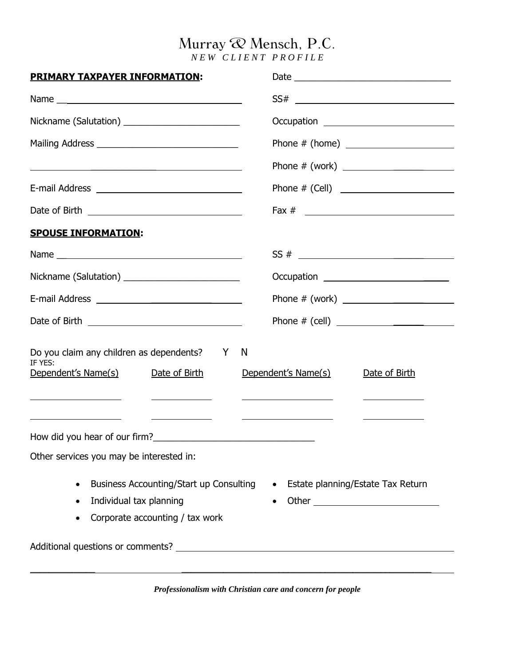# Murray  $\mathcal Q$  Mensch, P.C.

*N E W C L I E N T P R O F I L E* 

| <b>PRIMARY TAXPAYER INFORMATION:</b>                                                                                                                                                                                   |                                                                                                                                                                                                                                                                                                                                                                                                                                                                                                          |
|------------------------------------------------------------------------------------------------------------------------------------------------------------------------------------------------------------------------|----------------------------------------------------------------------------------------------------------------------------------------------------------------------------------------------------------------------------------------------------------------------------------------------------------------------------------------------------------------------------------------------------------------------------------------------------------------------------------------------------------|
|                                                                                                                                                                                                                        | $SS# \begin{tabular}{c} \multicolumn{3}{c} {\textbf{SS#}} \\ \multicolumn{3}{c} {\textbf{SS#}} \\ \multicolumn{3}{c} {\textbf{SS#}} \\ \multicolumn{3}{c} {\textbf{SS#}} \\ \multicolumn{3}{c} {\textbf{SS#}} \\ \multicolumn{3}{c} {\textbf{SS}_{\textbf{S}}} \\ \multicolumn{3}{c} {\textbf{SS}_{\textbf{S}}} \\ \multicolumn{3}{c} {\textbf{SS}_{\textbf{S}}} \\ \multicolumn{3}{c} {\textbf{SS}_{\textbf{S}}} \\ \multicolumn{3}{c} {\textbf{SS}_{\textbf{S}}} \\ \multicolumn{3}{c} {\textbf{SS}_{$ |
|                                                                                                                                                                                                                        | Occupation ________________________________                                                                                                                                                                                                                                                                                                                                                                                                                                                              |
|                                                                                                                                                                                                                        |                                                                                                                                                                                                                                                                                                                                                                                                                                                                                                          |
|                                                                                                                                                                                                                        | Phone # (work) ________________________                                                                                                                                                                                                                                                                                                                                                                                                                                                                  |
|                                                                                                                                                                                                                        |                                                                                                                                                                                                                                                                                                                                                                                                                                                                                                          |
|                                                                                                                                                                                                                        |                                                                                                                                                                                                                                                                                                                                                                                                                                                                                                          |
| <b>SPOUSE INFORMATION:</b>                                                                                                                                                                                             |                                                                                                                                                                                                                                                                                                                                                                                                                                                                                                          |
|                                                                                                                                                                                                                        |                                                                                                                                                                                                                                                                                                                                                                                                                                                                                                          |
|                                                                                                                                                                                                                        | Occupation <u>___________________________</u>                                                                                                                                                                                                                                                                                                                                                                                                                                                            |
|                                                                                                                                                                                                                        |                                                                                                                                                                                                                                                                                                                                                                                                                                                                                                          |
|                                                                                                                                                                                                                        |                                                                                                                                                                                                                                                                                                                                                                                                                                                                                                          |
| Do you claim any children as dependents? Y<br>IF YES:<br>Dependent's Name(s)<br>Date of Birth<br><u> 1989 - Johann Barbara, martxa a shekara 1980 - An tsa a shekara 1980 - An tsa a shekara 1980 - An tsa a sheka</u> | N<br>Dependent's Name(s)<br>Date of Birth                                                                                                                                                                                                                                                                                                                                                                                                                                                                |
| Other services you may be interested in:                                                                                                                                                                               |                                                                                                                                                                                                                                                                                                                                                                                                                                                                                                          |
| Business Accounting/Start up Consulting<br>$\bullet$<br>Individual tax planning<br>Corporate accounting / tax work                                                                                                     | Estate planning/Estate Tax Return<br>$\bullet$                                                                                                                                                                                                                                                                                                                                                                                                                                                           |

*Professionalism with Christian care and concern for people*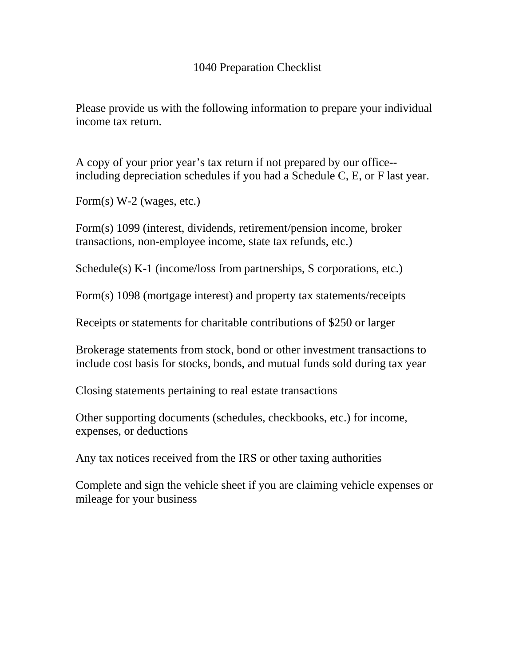## 1040 Preparation Checklist

Please provide us with the following information to prepare your individual income tax return.

A copy of your prior year's tax return if not prepared by our office- including depreciation schedules if you had a Schedule C, E, or F last year.

Form(s) W-2 (wages, etc.)

Form(s) 1099 (interest, dividends, retirement/pension income, broker transactions, non-employee income, state tax refunds, etc.)

Schedule(s) K-1 (income/loss from partnerships, S corporations, etc.)

Form(s) 1098 (mortgage interest) and property tax statements/receipts

Receipts or statements for charitable contributions of \$250 or larger

Brokerage statements from stock, bond or other investment transactions to include cost basis for stocks, bonds, and mutual funds sold during tax year

Closing statements pertaining to real estate transactions

Other supporting documents (schedules, checkbooks, etc.) for income, expenses, or deductions

Any tax notices received from the IRS or other taxing authorities

Complete and sign the vehicle sheet if you are claiming vehicle expenses or mileage for your business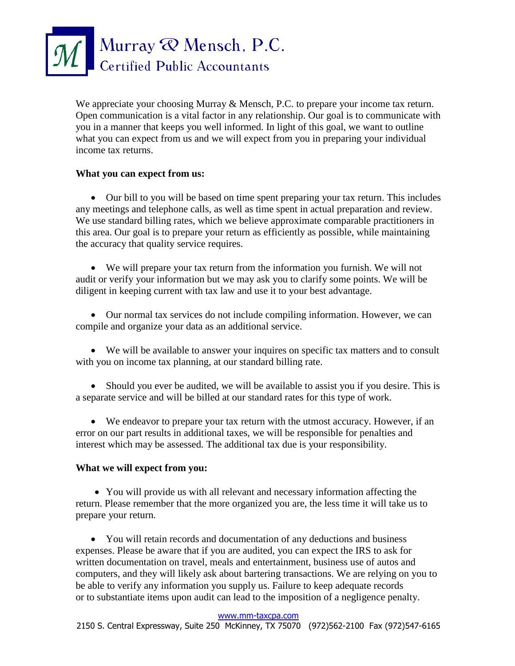

We appreciate your choosing Murray & Mensch, P.C. to prepare your income tax return. Open communication is a vital factor in any relationship. Our goal is to communicate with you in a manner that keeps you well informed. In light of this goal, we want to outline what you can expect from us and we will expect from you in preparing your individual income tax returns.

### **What you can expect from us:**

 Our bill to you will be based on time spent preparing your tax return. This includes any meetings and telephone calls, as well as time spent in actual preparation and review. We use standard billing rates, which we believe approximate comparable practitioners in this area. Our goal is to prepare your return as efficiently as possible, while maintaining the accuracy that quality service requires.

 We will prepare your tax return from the information you furnish. We will not audit or verify your information but we may ask you to clarify some points. We will be diligent in keeping current with tax law and use it to your best advantage.

 Our normal tax services do not include compiling information. However, we can compile and organize your data as an additional service.

 We will be available to answer your inquires on specific tax matters and to consult with you on income tax planning, at our standard billing rate.

 Should you ever be audited, we will be available to assist you if you desire. This is a separate service and will be billed at our standard rates for this type of work.

 We endeavor to prepare your tax return with the utmost accuracy. However, if an error on our part results in additional taxes, we will be responsible for penalties and interest which may be assessed. The additional tax due is your responsibility.

### **What we will expect from you:**

• You will provide us with all relevant and necessary information affecting the return. Please remember that the more organized you are, the less time it will take us to prepare your return.

 You will retain records and documentation of any deductions and business expenses. Please be aware that if you are audited, you can expect the IRS to ask for written documentation on travel, meals and entertainment, business use of autos and computers, and they will likely ask about bartering transactions. We are relying on you to be able to verify any information you supply us. Failure to keep adequate records or to substantiate items upon audit can lead to the imposition of a negligence penalty.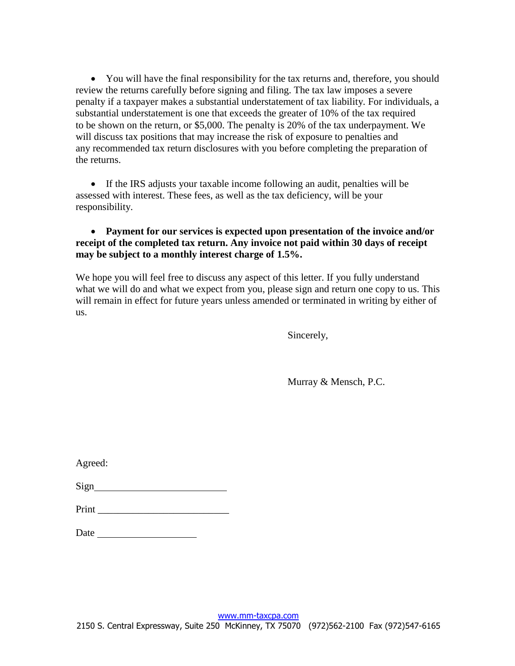You will have the final responsibility for the tax returns and, therefore, you should review the returns carefully before signing and filing. The tax law imposes a severe penalty if a taxpayer makes a substantial understatement of tax liability. For individuals, a substantial understatement is one that exceeds the greater of 10% of the tax required to be shown on the return, or \$5,000. The penalty is 20% of the tax underpayment. We will discuss tax positions that may increase the risk of exposure to penalties and any recommended tax return disclosures with you before completing the preparation of the returns.

 If the IRS adjusts your taxable income following an audit, penalties will be assessed with interest. These fees, as well as the tax deficiency, will be your responsibility.

 **Payment for our services is expected upon presentation of the invoice and/or receipt of the completed tax return. Any invoice not paid within 30 days of receipt may be subject to a monthly interest charge of 1.5%.**

We hope you will feel free to discuss any aspect of this letter. If you fully understand what we will do and what we expect from you, please sign and return one copy to us. This will remain in effect for future years unless amended or terminated in writing by either of us.

Sincerely,

Murray & Mensch, P.C.

| Agreed: |  |
|---------|--|
|         |  |
| Print   |  |
| Date    |  |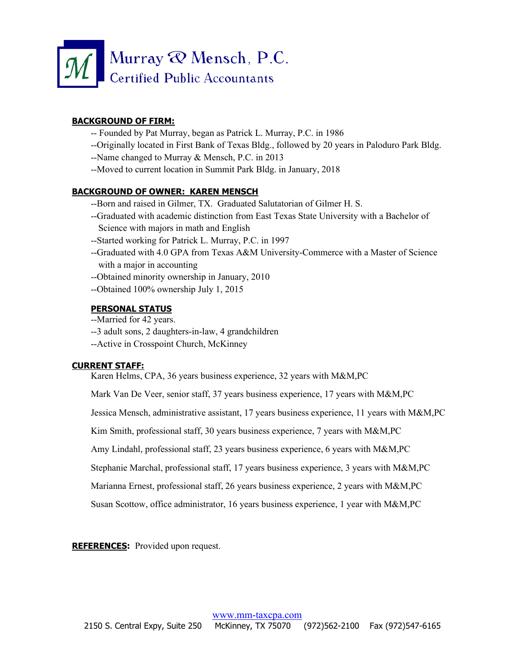

### **BACKGROUND OF FIRM:**

- -- Founded by Pat Murray, began as Patrick L. Murray, P.C. in 1986
- --Originally located in First Bank of Texas Bldg., followed by 20 years in Paloduro Park Bldg.
- --Name changed to Murray & Mensch, P.C. in 2013
- --Moved to current location in Summit Park Bldg. in January, 2018

#### **BACKGROUND OF OWNER: KAREN MENSCH**

- --Born and raised in Gilmer, TX. Graduated Salutatorian of Gilmer H. S.
- --Graduated with academic distinction from East Texas State University with a Bachelor of Science with majors in math and English
- --Started working for Patrick L. Murray, P.C. in 1997
- --Graduated with 4.0 GPA from Texas A&M University-Commerce with a Master of Science with a major in accounting
- --Obtained minority ownership in January, 2010
- --Obtained 100% ownership July 1, 2015

### **PERSONAL STATUS**

- --Married for 42 years.
- --3 adult sons, 2 daughters-in-law, 4 grandchildren
- --Active in Crosspoint Church, McKinney

#### **CURRENT STAFF:**

Karen Helms, CPA, 36 years business experience, 32 years with M&M,PC

Mark Van De Veer, senior staff, 37 years business experience, 17 years with M&M,PC

Jessica Mensch, administrative assistant, 17 years business experience, 11 years with M&M,PC

Kim Smith, professional staff, 30 years business experience, 7 years with M&M,PC

Amy Lindahl, professional staff, 23 years business experience, 6 years with M&M,PC

Stephanie Marchal, professional staff, 17 years business experience, 3 years with M&M,PC

Marianna Ernest, professional staff, 26 years business experience, 2 years with M&M,PC

Susan Scottow, office administrator, 16 years business experience, 1 year with M&M,PC

**REFERENCES:** Provided upon request.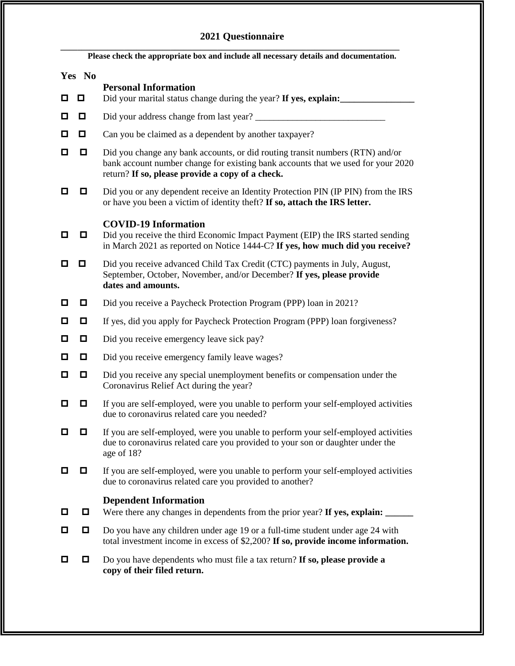## **2021 Questionnaire**

| Please check the appropriate box and include all necessary details and documentation. |        |                                                                                                                                                                                                                       |  |
|---------------------------------------------------------------------------------------|--------|-----------------------------------------------------------------------------------------------------------------------------------------------------------------------------------------------------------------------|--|
|                                                                                       | Yes No | <b>Personal Information</b>                                                                                                                                                                                           |  |
| 0                                                                                     | $\Box$ | Did your marital status change during the year? If yes, explain:                                                                                                                                                      |  |
| o                                                                                     | $\Box$ |                                                                                                                                                                                                                       |  |
| О                                                                                     | o      | Can you be claimed as a dependent by another taxpayer?                                                                                                                                                                |  |
| о                                                                                     | 0      | Did you change any bank accounts, or did routing transit numbers (RTN) and/or<br>bank account number change for existing bank accounts that we used for your 2020<br>return? If so, please provide a copy of a check. |  |
| 0                                                                                     |        | Did you or any dependent receive an Identity Protection PIN (IP PIN) from the IRS<br>or have you been a victim of identity theft? If so, attach the IRS letter.                                                       |  |
| o                                                                                     |        | <b>COVID-19 Information</b><br>Did you receive the third Economic Impact Payment (EIP) the IRS started sending<br>in March 2021 as reported on Notice 1444-C? If yes, how much did you receive?                       |  |
| о                                                                                     | o      | Did you receive advanced Child Tax Credit (CTC) payments in July, August,<br>September, October, November, and/or December? If yes, please provide<br>dates and amounts.                                              |  |
| o                                                                                     |        | Did you receive a Paycheck Protection Program (PPP) loan in 2021?                                                                                                                                                     |  |
| o                                                                                     | 0      | If yes, did you apply for Paycheck Protection Program (PPP) loan forgiveness?                                                                                                                                         |  |
| О                                                                                     | 0      | Did you receive emergency leave sick pay?                                                                                                                                                                             |  |
| o                                                                                     | Д      | Did you receive emergency family leave wages?                                                                                                                                                                         |  |
| О                                                                                     | $\Box$ | Did you receive any special unemployment benefits or compensation under the<br>Coronavirus Relief Act during the year?                                                                                                |  |
| o                                                                                     | 0      | If you are self-employed, were you unable to perform your self-employed activities<br>due to coronavirus related care you needed?                                                                                     |  |
| О                                                                                     | о      | If you are self-employed, were you unable to perform your self-employed activities<br>due to coronavirus related care you provided to your son or daughter under the<br>age of 18?                                    |  |
| □                                                                                     | 0.     | If you are self-employed, were you unable to perform your self-employed activities<br>due to coronavirus related care you provided to another?                                                                        |  |
| о                                                                                     | 0      | <b>Dependent Information</b><br>Were there any changes in dependents from the prior year? If yes, explain:                                                                                                            |  |
| О                                                                                     | 0      | Do you have any children under age 19 or a full-time student under age 24 with<br>total investment income in excess of $$2,200$ ? If so, provide income information.                                                  |  |
| □                                                                                     | 0      | Do you have dependents who must file a tax return? If so, please provide a<br>copy of their filed return.                                                                                                             |  |
|                                                                                       |        |                                                                                                                                                                                                                       |  |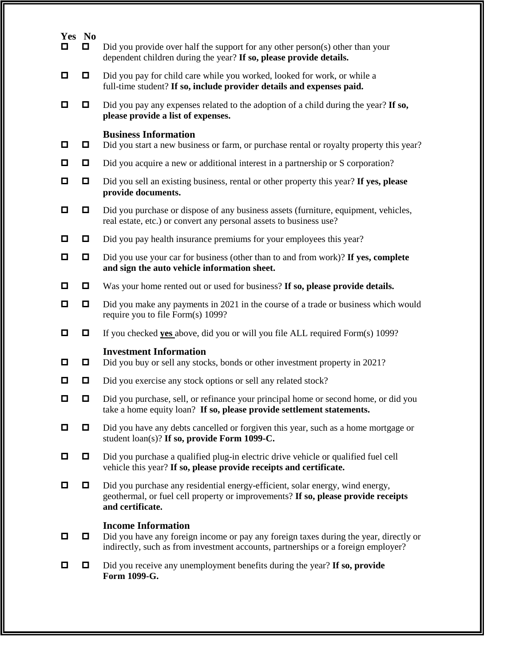| Yes No<br>О | $\Box$ | Did you provide over half the support for any other person(s) other than your                                                                                                                           |  |  |  |  |
|-------------|--------|---------------------------------------------------------------------------------------------------------------------------------------------------------------------------------------------------------|--|--|--|--|
|             |        | dependent children during the year? If so, please provide details.                                                                                                                                      |  |  |  |  |
| □           | $\Box$ | Did you pay for child care while you worked, looked for work, or while a<br>full-time student? If so, include provider details and expenses paid.                                                       |  |  |  |  |
| ◘           | О      | Did you pay any expenses related to the adoption of a child during the year? If so,<br>please provide a list of expenses.                                                                               |  |  |  |  |
| ◘           | О      | <b>Business Information</b><br>Did you start a new business or farm, or purchase rental or royalty property this year?                                                                                  |  |  |  |  |
| □           | $\Box$ | Did you acquire a new or additional interest in a partnership or S corporation?                                                                                                                         |  |  |  |  |
| □           | $\Box$ | Did you sell an existing business, rental or other property this year? If yes, please<br>provide documents.                                                                                             |  |  |  |  |
| □           | 0      | Did you purchase or dispose of any business assets (furniture, equipment, vehicles,<br>real estate, etc.) or convert any personal assets to business use?                                               |  |  |  |  |
| ◘           | 0      | Did you pay health insurance premiums for your employees this year?                                                                                                                                     |  |  |  |  |
| О           | $\Box$ | Did you use your car for business (other than to and from work)? If yes, complete<br>and sign the auto vehicle information sheet.                                                                       |  |  |  |  |
| ◘           | О      | Was your home rented out or used for business? If so, please provide details.                                                                                                                           |  |  |  |  |
| О           | $\Box$ | Did you make any payments in 2021 in the course of a trade or business which would<br>require you to file Form(s) 1099?                                                                                 |  |  |  |  |
| ◘           | О      | If you checked <b>yes</b> above, did you or will you file ALL required Form(s) 1099?                                                                                                                    |  |  |  |  |
| ◘           | О      | <b>Investment Information</b><br>Did you buy or sell any stocks, bonds or other investment property in 2021?                                                                                            |  |  |  |  |
| ◘           | $\Box$ | Did you exercise any stock options or sell any related stock?                                                                                                                                           |  |  |  |  |
| О           | $\Box$ | Did you purchase, sell, or refinance your principal home or second home, or did you<br>take a home equity loan? If so, please provide settlement statements.                                            |  |  |  |  |
| О           | 0      | Did you have any debts cancelled or forgiven this year, such as a home mortgage or<br>student loan(s)? If so, provide Form 1099-C.                                                                      |  |  |  |  |
| о           | $\Box$ | Did you purchase a qualified plug-in electric drive vehicle or qualified fuel cell<br>vehicle this year? If so, please provide receipts and certificate.                                                |  |  |  |  |
| О           | 0      | Did you purchase any residential energy-efficient, solar energy, wind energy,<br>geothermal, or fuel cell property or improvements? If so, please provide receipts<br>and certificate.                  |  |  |  |  |
| о           | 0      | <b>Income Information</b><br>Did you have any foreign income or pay any foreign taxes during the year, directly or<br>indirectly, such as from investment accounts, partnerships or a foreign employer? |  |  |  |  |
| О           | 0      | Did you receive any unemployment benefits during the year? If so, provide<br>Form 1099-G.                                                                                                               |  |  |  |  |
|             |        |                                                                                                                                                                                                         |  |  |  |  |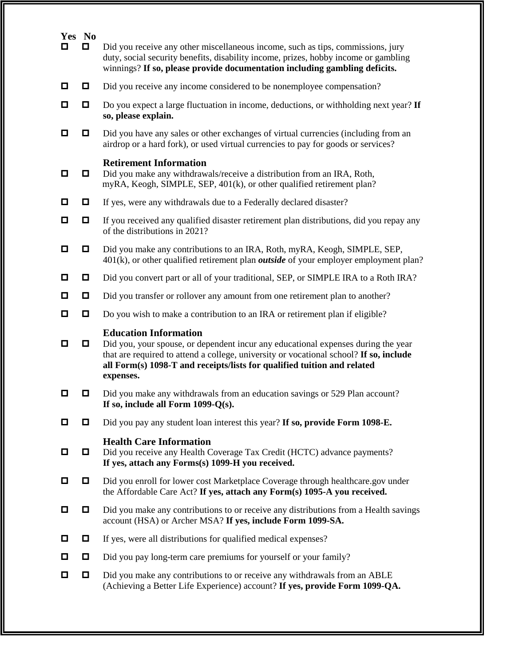|   | Yes No |                                                                                                                                                                                                                                                                                                     |  |  |  |
|---|--------|-----------------------------------------------------------------------------------------------------------------------------------------------------------------------------------------------------------------------------------------------------------------------------------------------------|--|--|--|
| О | $\Box$ | Did you receive any other miscellaneous income, such as tips, commissions, jury<br>duty, social security benefits, disability income, prizes, hobby income or gambling<br>winnings? If so, please provide documentation including gambling deficits.                                                |  |  |  |
| О | $\Box$ | Did you receive any income considered to be nonemployee compensation?                                                                                                                                                                                                                               |  |  |  |
| □ | $\Box$ | Do you expect a large fluctuation in income, deductions, or withholding next year? If<br>so, please explain.                                                                                                                                                                                        |  |  |  |
| ◘ | $\Box$ | Did you have any sales or other exchanges of virtual currencies (including from an<br>airdrop or a hard fork), or used virtual currencies to pay for goods or services?                                                                                                                             |  |  |  |
| О | 0      | <b>Retirement Information</b><br>Did you make any withdrawals/receive a distribution from an IRA, Roth,<br>myRA, Keogh, SIMPLE, SEP, 401(k), or other qualified retirement plan?                                                                                                                    |  |  |  |
| О | $\Box$ | If yes, were any withdrawals due to a Federally declared disaster?                                                                                                                                                                                                                                  |  |  |  |
| ◘ | $\Box$ | If you received any qualified disaster retirement plan distributions, did you repay any<br>of the distributions in 2021?                                                                                                                                                                            |  |  |  |
| О | $\Box$ | Did you make any contributions to an IRA, Roth, myRA, Keogh, SIMPLE, SEP,<br>$401(k)$ , or other qualified retirement plan <i>outside</i> of your employer employment plan?                                                                                                                         |  |  |  |
| О | $\Box$ | Did you convert part or all of your traditional, SEP, or SIMPLE IRA to a Roth IRA?                                                                                                                                                                                                                  |  |  |  |
| □ | $\Box$ | Did you transfer or rollover any amount from one retirement plan to another?                                                                                                                                                                                                                        |  |  |  |
| □ | О      | Do you wish to make a contribution to an IRA or retirement plan if eligible?                                                                                                                                                                                                                        |  |  |  |
| О | $\Box$ | <b>Education Information</b><br>Did you, your spouse, or dependent incur any educational expenses during the year<br>that are required to attend a college, university or vocational school? If so, include<br>all Form(s) 1098-T and receipts/lists for qualified tuition and related<br>expenses. |  |  |  |
| ◘ | $\Box$ | Did you make any withdrawals from an education savings or 529 Plan account?<br>If so, include all Form $1099-Q(s)$ .                                                                                                                                                                                |  |  |  |
| 0 |        | Did you pay any student loan interest this year? If so, provide Form 1098-E.                                                                                                                                                                                                                        |  |  |  |
| ◘ | 0      | <b>Health Care Information</b><br>Did you receive any Health Coverage Tax Credit (HCTC) advance payments?<br>If yes, attach any Forms(s) 1099-H you received.                                                                                                                                       |  |  |  |
| O |        | Did you enroll for lower cost Marketplace Coverage through healthcare.gov under<br>the Affordable Care Act? If yes, attach any Form(s) 1095-A you received.                                                                                                                                         |  |  |  |
| ◘ | $\Box$ | Did you make any contributions to or receive any distributions from a Health savings<br>account (HSA) or Archer MSA? If yes, include Form 1099-SA.                                                                                                                                                  |  |  |  |
| O | $\Box$ | If yes, were all distributions for qualified medical expenses?                                                                                                                                                                                                                                      |  |  |  |
| ◘ | $\Box$ | Did you pay long-term care premiums for yourself or your family?                                                                                                                                                                                                                                    |  |  |  |
| о | $\Box$ | Did you make any contributions to or receive any withdrawals from an ABLE<br>(Achieving a Better Life Experience) account? If yes, provide Form 1099-QA.                                                                                                                                            |  |  |  |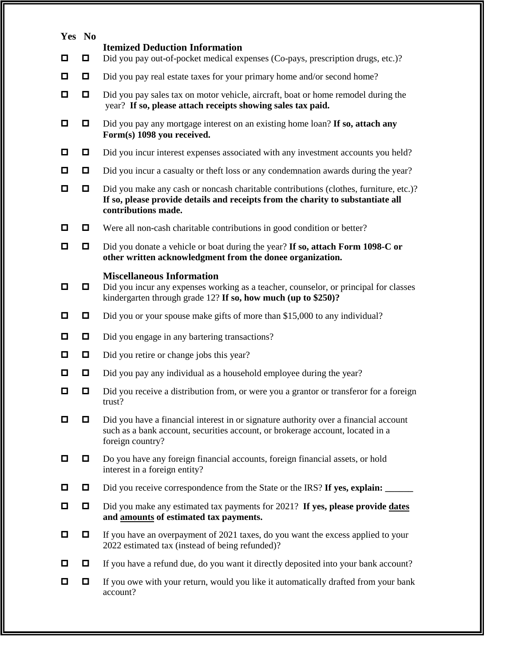| Yes No |        |                                                                                                                                                                                                 |  |  |  |
|--------|--------|-------------------------------------------------------------------------------------------------------------------------------------------------------------------------------------------------|--|--|--|
| o      | $\Box$ | <b>Itemized Deduction Information</b><br>Did you pay out-of-pocket medical expenses (Co-pays, prescription drugs, etc.)?                                                                        |  |  |  |
| о      |        | Did you pay real estate taxes for your primary home and/or second home?                                                                                                                         |  |  |  |
| o      | $\Box$ | Did you pay sales tax on motor vehicle, aircraft, boat or home remodel during the<br>year? If so, please attach receipts showing sales tax paid.                                                |  |  |  |
| o      |        | Did you pay any mortgage interest on an existing home loan? If so, attach any<br>Form(s) 1098 you received.                                                                                     |  |  |  |
| o      | 0      | Did you incur interest expenses associated with any investment accounts you held?                                                                                                               |  |  |  |
| $\Box$ | $\Box$ | Did you incur a casualty or theft loss or any condemnation awards during the year?                                                                                                              |  |  |  |
| о      | 0      | Did you make any cash or noncash charitable contributions (clothes, furniture, etc.)?<br>If so, please provide details and receipts from the charity to substantiate all<br>contributions made. |  |  |  |
| o      | 0      | Were all non-cash charitable contributions in good condition or better?                                                                                                                         |  |  |  |
| o      | $\Box$ | Did you donate a vehicle or boat during the year? If so, attach Form 1098-C or<br>other written acknowledgment from the donee organization.                                                     |  |  |  |
| o      |        | <b>Miscellaneous Information</b><br>Did you incur any expenses working as a teacher, counselor, or principal for classes<br>kindergarten through grade 12? If so, how much (up to \$250)?       |  |  |  |
| o      | $\Box$ | Did you or your spouse make gifts of more than \$15,000 to any individual?                                                                                                                      |  |  |  |
| o      | $\Box$ | Did you engage in any bartering transactions?                                                                                                                                                   |  |  |  |
| О      | $\Box$ | Did you retire or change jobs this year?                                                                                                                                                        |  |  |  |
| ◘      | $\Box$ | Did you pay any individual as a household employee during the year?                                                                                                                             |  |  |  |
| о      | ◘      | Did you receive a distribution from, or were you a grantor or transferor for a foreign<br>trust?                                                                                                |  |  |  |
| О      | 0      | Did you have a financial interest in or signature authority over a financial account<br>such as a bank account, securities account, or brokerage account, located in a<br>foreign country?      |  |  |  |
| o      | $\Box$ | Do you have any foreign financial accounts, foreign financial assets, or hold<br>interest in a foreign entity?                                                                                  |  |  |  |
| O      | 0      | Did you receive correspondence from the State or the IRS? If yes, explain:                                                                                                                      |  |  |  |
| o      | $\Box$ | Did you make any estimated tax payments for 2021? If yes, please provide dates<br>and amounts of estimated tax payments.                                                                        |  |  |  |
| ◘      | $\Box$ | If you have an overpayment of 2021 taxes, do you want the excess applied to your<br>2022 estimated tax (instead of being refunded)?                                                             |  |  |  |
| O      |        | If you have a refund due, do you want it directly deposited into your bank account?                                                                                                             |  |  |  |
| О      | 0      | If you owe with your return, would you like it automatically drafted from your bank<br>account?                                                                                                 |  |  |  |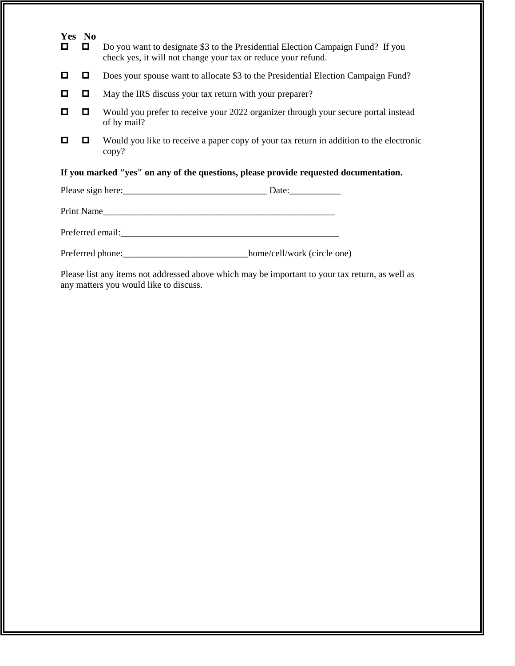| Yes No<br>П                                                                          | 0  | Do you want to designate \$3 to the Presidential Election Campaign Fund? If you<br>check yes, it will not change your tax or reduce your refund. |  |  |  |
|--------------------------------------------------------------------------------------|----|--------------------------------------------------------------------------------------------------------------------------------------------------|--|--|--|
| o                                                                                    | 0  | Does your spouse want to allocate \$3 to the Presidential Election Campaign Fund?                                                                |  |  |  |
| о                                                                                    | 0. | May the IRS discuss your tax return with your preparer?                                                                                          |  |  |  |
| О                                                                                    | 0  | Would you prefer to receive your 2022 organizer through your secure portal instead<br>of by mail?                                                |  |  |  |
| О                                                                                    |    | Would you like to receive a paper copy of your tax return in addition to the electronic<br>copy?                                                 |  |  |  |
| If you marked "yes" on any of the questions, please provide requested documentation. |    |                                                                                                                                                  |  |  |  |
|                                                                                      |    |                                                                                                                                                  |  |  |  |
| Print Name                                                                           |    |                                                                                                                                                  |  |  |  |
|                                                                                      |    |                                                                                                                                                  |  |  |  |
| Preferred phone:___________________________________home/cell/work (circle one)       |    |                                                                                                                                                  |  |  |  |
|                                                                                      |    | Please list any items not addressed above which may be important to your tax return, as well as                                                  |  |  |  |

any matters you would like to discuss.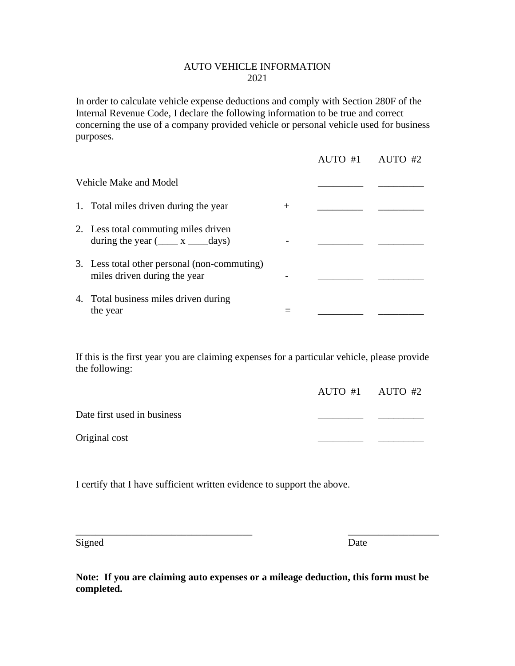### AUTO VEHICLE INFORMATION 2021

In order to calculate vehicle expense deductions and comply with Section 280F of the Internal Revenue Code, I declare the following information to be true and correct concerning the use of a company provided vehicle or personal vehicle used for business purposes.

|                                                                                |        | AUTO #1 AUTO #2 |
|--------------------------------------------------------------------------------|--------|-----------------|
| <b>Vehicle Make and Model</b>                                                  |        |                 |
| 1. Total miles driven during the year                                          | $^{+}$ |                 |
| 2. Less total commuting miles driven<br>during the year $(\_\_\ x_\_\_\_days)$ |        |                 |
| 3. Less total other personal (non-commuting)<br>miles driven during the year   |        |                 |
| 4. Total business miles driven during<br>the year                              |        |                 |

If this is the first year you are claiming expenses for a particular vehicle, please provide the following:

|                             | AUTO #1 $\alpha$ AUTO #2 |  |
|-----------------------------|--------------------------|--|
| Date first used in business |                          |  |
| Original cost               |                          |  |

I certify that I have sufficient written evidence to support the above.

Signed Date

**Note: If you are claiming auto expenses or a mileage deduction, this form must be completed.** 

\_\_\_\_\_\_\_\_\_\_\_\_\_\_\_\_\_\_\_\_\_\_\_\_\_\_\_\_\_\_\_\_\_\_\_ \_\_\_\_\_\_\_\_\_\_\_\_\_\_\_\_\_\_